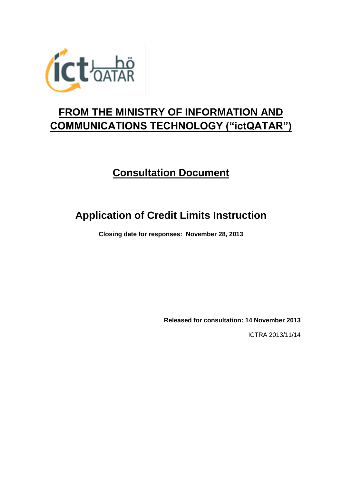

## **FROM THE MINISTRY OF INFORMATION AND COMMUNICATIONS TECHNOLOGY ("ictQATAR")**

## **Consultation Document**

# **Application of Credit Limits Instruction**

**Closing date for responses: November 28, 2013**

**Released for consultation: 14 November 2013**

ICTRA 2013/11/14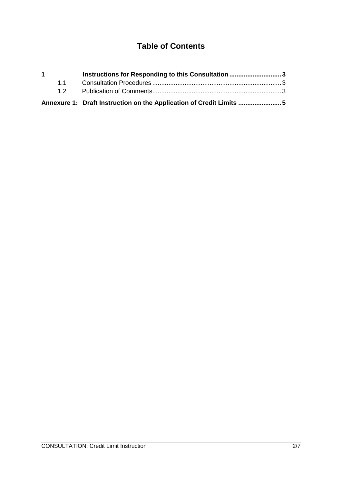## **Table of Contents**

| $\mathbf 1$ | Instructions for Responding to this Consultation 3                  |  |
|-------------|---------------------------------------------------------------------|--|
|             |                                                                     |  |
|             |                                                                     |  |
|             | Annexure 1: Draft Instruction on the Application of Credit Limits 5 |  |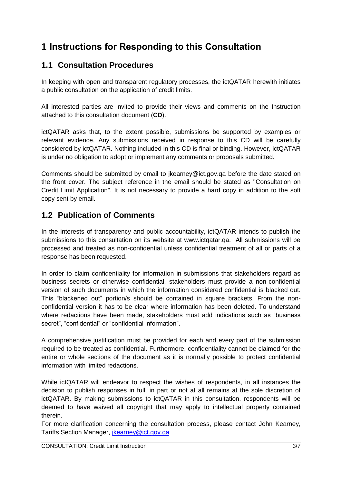## **1 Instructions for Responding to this Consultation**

### **1.1 Consultation Procedures**

In keeping with open and transparent regulatory processes, the ictQATAR herewith initiates a public consultation on the application of credit limits.

All interested parties are invited to provide their views and comments on the Instruction attached to this consultation document (**CD**).

ictQATAR asks that, to the extent possible, submissions be supported by examples or relevant evidence. Any submissions received in response to this CD will be carefully considered by ictQATAR. Nothing included in this CD is final or binding. However, ictQATAR is under no obligation to adopt or implement any comments or proposals submitted.

Comments should be submitted by email to jkearney@ict.gov.qa before the date stated on the front cover. The subject reference in the email should be stated as "Consultation on Credit Limit Application". It is not necessary to provide a hard copy in addition to the soft copy sent by email.

### **1.2 Publication of Comments**

In the interests of transparency and public accountability, ictQATAR intends to publish the submissions to this consultation on its website at www.ictqatar.qa. All submissions will be processed and treated as non-confidential unless confidential treatment of all or parts of a response has been requested.

In order to claim confidentiality for information in submissions that stakeholders regard as business secrets or otherwise confidential, stakeholders must provide a non-confidential version of such documents in which the information considered confidential is blacked out. This "blackened out" portion/s should be contained in square brackets. From the nonconfidential version it has to be clear where information has been deleted. To understand where redactions have been made, stakeholders must add indications such as "business secret", "confidential" or "confidential information".

A comprehensive justification must be provided for each and every part of the submission required to be treated as confidential. Furthermore, confidentiality cannot be claimed for the entire or whole sections of the document as it is normally possible to protect confidential information with limited redactions.

While ictQATAR will endeavor to respect the wishes of respondents, in all instances the decision to publish responses in full, in part or not at all remains at the sole discretion of ictQATAR. By making submissions to ictQATAR in this consultation, respondents will be deemed to have waived all copyright that may apply to intellectual property contained therein.

For more clarification concerning the consultation process, please contact John Kearney, Tariffs Section Manager, [jkearney@ict.gov.qa](mailto:jkearney@ict.gov.qa)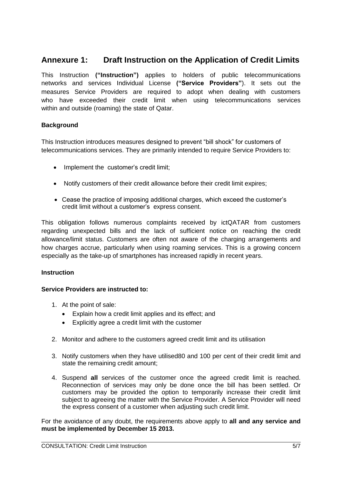### **Annexure 1: Draft Instruction on the Application of Credit Limits**

This Instruction **("Instruction")** applies to holders of public telecommunications networks and services Individual License **("Service Providers"**). It sets out the measures Service Providers are required to adopt when dealing with customers who have exceeded their credit limit when using telecommunications services within and outside (roaming) the state of Qatar.

#### **Background**

This Instruction introduces measures designed to prevent "bill shock" for customers of telecommunications services. They are primarily intended to require Service Providers to:

- Implement the customer's credit limit;
- Notify customers of their credit allowance before their credit limit expires;
- Cease the practice of imposing additional charges, which exceed the customer's credit limit without a customer's express consent.

This obligation follows numerous complaints received by ictQATAR from customers regarding unexpected bills and the lack of sufficient notice on reaching the credit allowance/limit status. Customers are often not aware of the charging arrangements and how charges accrue, particularly when using roaming services. This is a growing concern especially as the take-up of smartphones has increased rapidly in recent years.

#### **Instruction**

#### **Service Providers are instructed to:**

- 1. At the point of sale:
	- Explain how a credit limit applies and its effect; and
	- Explicitly agree a credit limit with the customer
- 2. Monitor and adhere to the customers agreed credit limit and its utilisation
- 3. Notify customers when they have utilised80 and 100 per cent of their credit limit and state the remaining credit amount;
- 4. Suspend **all** services of the customer once the agreed credit limit is reached. Reconnection of services may only be done once the bill has been settled. Or customers may be provided the option to temporarily increase their credit limit subject to agreeing the matter with the Service Provider. A Service Provider will need the express consent of a customer when adjusting such credit limit.

For the avoidance of any doubt, the requirements above apply to **all and any service and must be implemented by December 15 2013.**